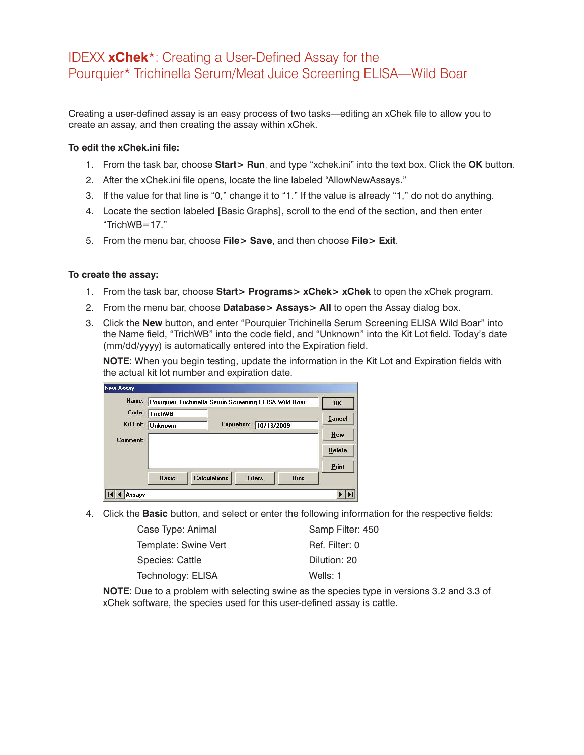## IDEXX **xChek**\*: Creating a User-Defined Assay for the Pourquier\* Trichinella Serum/Meat Juice Screening ELISA—Wild Boar

Creating a user-defined assay is an easy process of two tasks—editing an xChek file to allow you to create an assay, and then creating the assay within xChek.

## **To edit the xChek.ini file:**

- 1. From the task bar, choose **Start> Run**, and type "xchek.ini" into the text box. Click the **OK** button.
- 2. After the xChek.ini file opens, locate the line labeled "AllowNewAssays."
- 3. If the value for that line is "0," change it to "1." If the value is already "1," do not do anything.
- 4. Locate the section labeled [Basic Graphs], scroll to the end of the section, and then enter "TrichWB $=17$ ."
- 5. From the menu bar, choose **File> Save**, and then choose **File> Exit**.

## **To create the assay:**

- 1. From the task bar, choose **Start> Programs> xChek> xChek** to open the xChek program.
- 2. From the menu bar, choose **Database> Assays> All** to open the Assay dialog box.
- 3. Click the **New** button, and enter "Pourquier Trichinella Serum Screening ELISA Wild Boar" into the Name field, "TrichWB" into the code field, and "Unknown" into the Kit Lot field. Today's date (mm/dd/yyyy) is automatically entered into the Expiration field.

**NOTE**: When you begin testing, update the information in the Kit Lot and Expiration fields with the actual kit lot number and expiration date.

| Name:    | Pourquier Trichinella Serum Screening ELISA Wild Boar |                     |               |             | 0K            |
|----------|-------------------------------------------------------|---------------------|---------------|-------------|---------------|
| Code:    | <b>TrichWB</b>                                        |                     |               |             | Cancel        |
| Kit Lot: | <b>Unknown</b>                                        | <b>Expiration:</b>  | 10/13/2009    |             |               |
| Comment: |                                                       |                     |               |             | New           |
|          |                                                       |                     |               |             | <b>Delete</b> |
|          |                                                       |                     |               |             | Print         |
|          | <b>Basic</b>                                          | <b>Calculations</b> | <b>Titers</b> | <b>Bins</b> |               |

4. Click the **Basic** button, and select or enter the following information for the respective fields:

| Case Type: Animal    | Samp Filter: 450 |
|----------------------|------------------|
| Template: Swine Vert | Ref. Filter: 0   |
| Species: Cattle      | Dilution: 20     |
| Technology: ELISA    | Wells: 1         |

**NOTE**: Due to a problem with selecting swine as the species type in versions 3.2 and 3.3 of xChek software, the species used for this user-defined assay is cattle.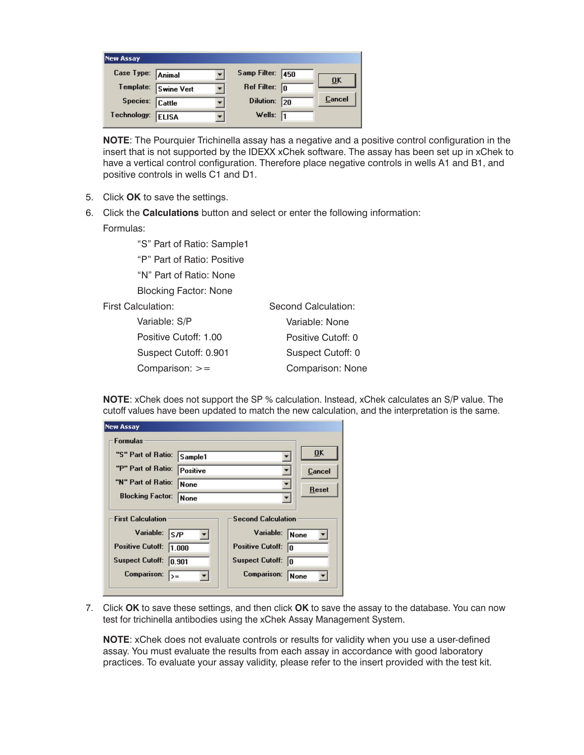| <b>New Assay</b>  |                   |                  |    |        |
|-------------------|-------------------|------------------|----|--------|
| Case Type: Animal |                   | Samp Filter: 450 |    | ŪK     |
| Template:         | <b>Swine Vert</b> | Ref Filter:      | In |        |
| Species: Cattle   |                   | <b>Dilution:</b> | 20 | Cancel |
| Technology:       | <b>ELISA</b>      | Wells:           | 11 |        |

**NOTE:** The Pourquier Trichinella assay has a negative and a positive control configuration in the insert that is not supported by the IDEXX xChek software. The assay has been set up in xChek to have a vertical control configuration. Therefore place negative controls in wells A1 and B1, and positive controls in wells C1 and D1.

- 5. Click **OK** to save the settings.
- 6. Click the **Calculations** button and select or enter the following information: Formulas:

"S" Part of Ratio: Sample1

"P" Part of Ratio: Positive

"N" Part of Ratio: None

Blocking Factor: None

**First Cald** 

| <b>First Calculation:</b> | Second Calculation: |
|---------------------------|---------------------|
| Variable: S/P             | Variable: None      |
| Positive Cutoff: 1.00     | Positive Cutoff: 0  |
| Suspect Cutoff: 0.901     | Suspect Cutoff: 0   |
| Comparison: $>=$          | Comparison: None    |

**NOTE:** xChek does not support the SP % calculation. Instead, xChek calculates an S/P value. The cutoff values have been updated to match the new calculation, and the interpretation is the same.

|                                                                                                    |                 |                                                                                                         | 0K           |
|----------------------------------------------------------------------------------------------------|-----------------|---------------------------------------------------------------------------------------------------------|--------------|
| "S" Part of Ratio:                                                                                 | Sample1         |                                                                                                         |              |
| "P" Part of Ratio:                                                                                 | Positive        |                                                                                                         | Cancel       |
| "N" Part of Ratio:                                                                                 | None            |                                                                                                         | <b>Reset</b> |
| <b>Blocking Factor:</b>                                                                            | <b>None</b>     |                                                                                                         |              |
| <b>First Calculation</b><br>Variable:<br>ls/P<br><b>Positive Cutoff:</b><br><b>Suspect Cutoff:</b> | 1.000<br>10.901 | <b>Second Calculation</b><br>Variable:<br><b>Positive Cutoff:</b><br>In<br><b>Suspect Cutoff:</b><br>In | None         |

7. Click **OK** to save these settings, and then click **OK** to save the assay to the database. You can now test for trichinella antibodies using the xChek Assay Management System.

**NOTE:** xChek does not evaluate controls or results for validity when you use a user-defined assay. You must evaluate the results from each assay in accordance with good laboratory practices. To evaluate your assay validity, please refer to the insert provided with the test kit.